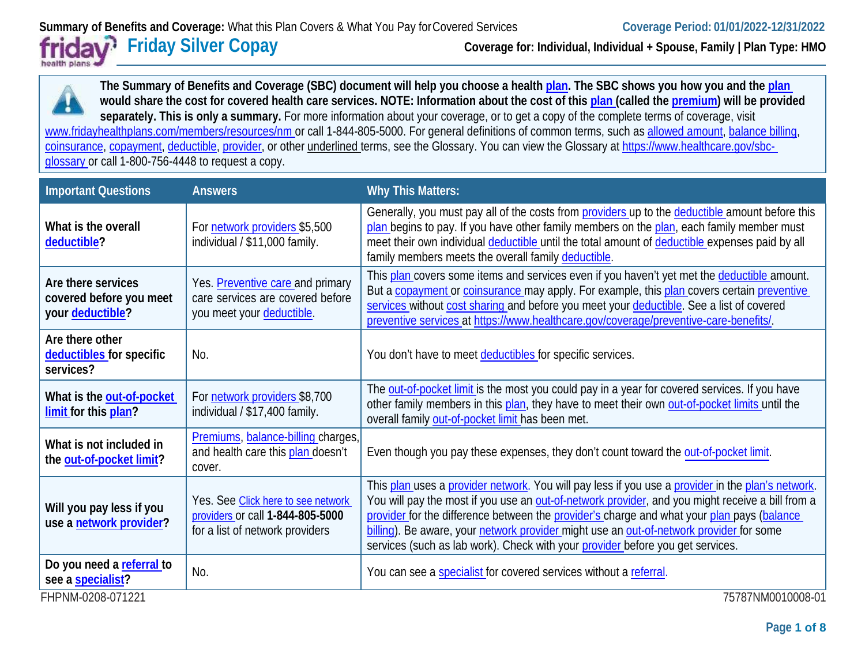# health plans of

**Friday Silver Copay Coverage for: Individual, Individual + Spouse, Family | Plan Type: HMO**

**The Summary of Benefits and Coverage (SBC) document will help you choose a healt[h plan.](https://www.healthcare.gov/sbc-glossary/#plan) The SBC shows you how you and the [plan](https://www.healthcare.gov/sbc-glossary/#plan) would share the cost for covered health care services. NOTE: Information about the cost of this [plan \(](https://www.healthcare.gov/sbc-glossary/#plan)called the [premium\)](https://www.healthcare.gov/sbc-glossary/#premium) will be provided separately. This is only a summary.** For more information about your coverage, or to get a copy of the complete terms of coverage, visit [www.fridayhealthplans.com/members/resources/nm o](http://www.fridayhealthplans.com/members/resources/nm)r call 1-844-805-5000. For general definitions of common terms, such a[s allowed amount,](https://www.healthcare.gov/sbc-glossary/#allowed-amount) [balance billing,](https://www.healthcare.gov/sbc-glossary/#balance-billing) [coinsurance,](https://www.healthcare.gov/sbc-glossary/#coinsurance) [copayment,](https://www.healthcare.gov/sbc-glossary/#copayment) [deductible,](https://www.healthcare.gov/sbc-glossary/#deductible) [provider,](https://www.healthcare.gov/sbc-glossary/#provider) or other underlined terms, see the Glossary. You can view the Glossary a[t https://www.healthcare.gov/sbc](https://www.healthcare.gov/sbc-glossary)[glossary o](https://www.healthcare.gov/sbc-glossary)r call 1-800-756-4448 to request a copy.

| <b>Important Questions</b>                                        | <b>Answers</b>                                                                                            | <b>Why This Matters:</b>                                                                                                                                                                                                                                                                                                                                                                                                                                                         |
|-------------------------------------------------------------------|-----------------------------------------------------------------------------------------------------------|----------------------------------------------------------------------------------------------------------------------------------------------------------------------------------------------------------------------------------------------------------------------------------------------------------------------------------------------------------------------------------------------------------------------------------------------------------------------------------|
| What is the overall<br>deductible?                                | For network providers \$5,500<br>individual / \$11,000 family.                                            | Generally, you must pay all of the costs from providers up to the deductible amount before this<br>plan begins to pay. If you have other family members on the plan, each family member must<br>meet their own individual deductible until the total amount of deductible expenses paid by all<br>family members meets the overall family deductible.                                                                                                                            |
| Are there services<br>covered before you meet<br>your deductible? | Yes. Preventive care and primary<br>care services are covered before<br>you meet your deductible.         | This plan covers some items and services even if you haven't yet met the deductible amount.<br>But a copayment or coinsurance may apply. For example, this plan covers certain preventive<br>services without cost sharing and before you meet your deductible. See a list of covered<br>preventive services at https://www.healthcare.gov/coverage/preventive-care-benefits/.                                                                                                   |
| Are there other<br>deductibles for specific<br>services?          | No.                                                                                                       | You don't have to meet deductibles for specific services.                                                                                                                                                                                                                                                                                                                                                                                                                        |
| What is the out-of-pocket<br>limit for this plan?                 | For network providers \$8,700<br>individual / \$17,400 family.                                            | The out-of-pocket limit is the most you could pay in a year for covered services. If you have<br>other family members in this plan, they have to meet their own out-of-pocket limits until the<br>overall family out-of-pocket limit has been met.                                                                                                                                                                                                                               |
| What is not included in<br>the out-of-pocket limit?               | Premiums, balance-billing charges,<br>and health care this plan doesn't<br>cover.                         | Even though you pay these expenses, they don't count toward the out-of-pocket limit.                                                                                                                                                                                                                                                                                                                                                                                             |
| Will you pay less if you<br>use a network provider?               | Yes. See Click here to see network<br>providers or call 1-844-805-5000<br>for a list of network providers | This plan uses a provider network. You will pay less if you use a provider in the plan's network.<br>You will pay the most if you use an out-of-network provider, and you might receive a bill from a<br>provider for the difference between the provider's charge and what your plan pays (balance<br>billing). Be aware, your network provider might use an out-of-network provider for some<br>services (such as lab work). Check with your provider before you get services. |
| Do you need a referral to<br>see a specialist?                    | No.                                                                                                       | You can see a specialist for covered services without a referral.                                                                                                                                                                                                                                                                                                                                                                                                                |
| FHPNM-0208-071221                                                 |                                                                                                           | 75787NM0010008-01                                                                                                                                                                                                                                                                                                                                                                                                                                                                |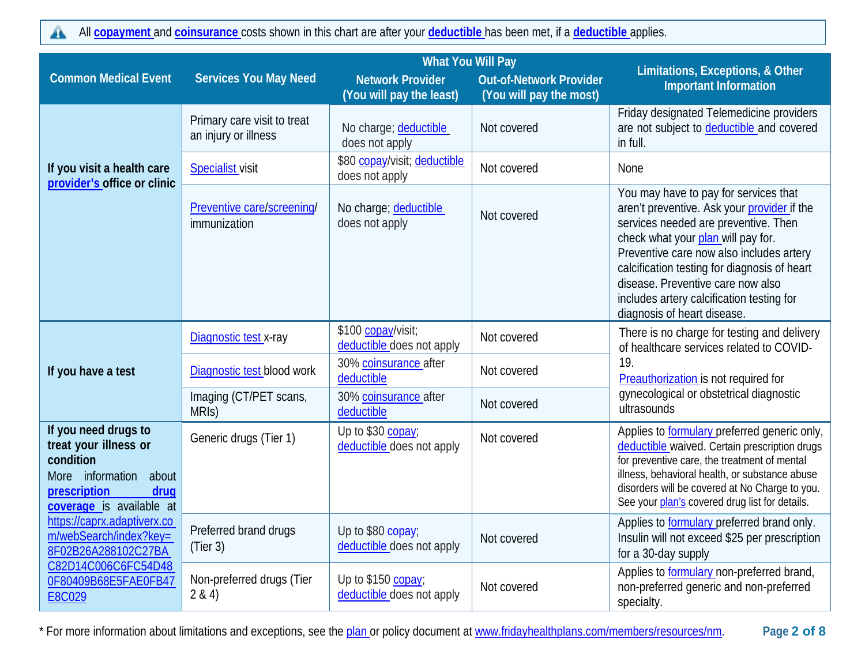All **[copayment](https://www.healthcare.gov/sbc-glossary/#copayment)** and **[coinsurance](https://www.healthcare.gov/sbc-glossary/#coinsurance)** costs shown in this chart are after your **[deductible](https://www.healthcare.gov/sbc-glossary/#deductible)** has been met, if a **[deductible](https://www.healthcare.gov/sbc-glossary/#deductible)** applies. $\mathbf{A}$ 

|                                                                                                                                             | <b>What You Will Pay</b>                            |                                                     |                                                           |                                                                                                                                                                                                                                                                                                                                                                                 |  |
|---------------------------------------------------------------------------------------------------------------------------------------------|-----------------------------------------------------|-----------------------------------------------------|-----------------------------------------------------------|---------------------------------------------------------------------------------------------------------------------------------------------------------------------------------------------------------------------------------------------------------------------------------------------------------------------------------------------------------------------------------|--|
| <b>Common Medical Event</b>                                                                                                                 | <b>Services You May Need</b>                        | <b>Network Provider</b><br>(You will pay the least) | <b>Out-of-Network Provider</b><br>(You will pay the most) | Limitations, Exceptions, & Other<br><b>Important Information</b>                                                                                                                                                                                                                                                                                                                |  |
|                                                                                                                                             | Primary care visit to treat<br>an injury or illness | No charge; deductible<br>does not apply             | Not covered                                               | Friday designated Telemedicine providers<br>are not subject to deductible and covered<br>in full.                                                                                                                                                                                                                                                                               |  |
| If you visit a health care<br>provider's office or clinic                                                                                   | <b>Specialist</b> visit                             | \$80 copay/visit; deductible<br>does not apply      | Not covered                                               | None                                                                                                                                                                                                                                                                                                                                                                            |  |
|                                                                                                                                             | Preventive care/screening/<br>immunization          | No charge; deductible<br>does not apply             | Not covered                                               | You may have to pay for services that<br>aren't preventive. Ask your provider if the<br>services needed are preventive. Then<br>check what your plan will pay for.<br>Preventive care now also includes artery<br>calcification testing for diagnosis of heart<br>disease. Preventive care now also<br>includes artery calcification testing for<br>diagnosis of heart disease. |  |
|                                                                                                                                             | Diagnostic test x-ray                               | \$100 copay/visit;<br>deductible does not apply     | Not covered                                               | There is no charge for testing and delivery<br>of healthcare services related to COVID-                                                                                                                                                                                                                                                                                         |  |
| If you have a test                                                                                                                          | Diagnostic test blood work                          | 30% coinsurance after<br>deductible                 | Not covered                                               | 19.<br>Preauthorization is not required for                                                                                                                                                                                                                                                                                                                                     |  |
|                                                                                                                                             | Imaging (CT/PET scans,<br>MRI <sub>S</sub> )        | 30% coinsurance after<br>deductible                 | Not covered                                               | gynecological or obstetrical diagnostic<br>ultrasounds                                                                                                                                                                                                                                                                                                                          |  |
| If you need drugs to<br>treat your illness or<br>condition<br>More information<br>about<br>prescription<br>drug<br>coverage is available at | Generic drugs (Tier 1)                              | Up to \$30 copay;<br>deductible does not apply      | Not covered                                               | Applies to formulary preferred generic only,<br>deductible waived. Certain prescription drugs<br>for preventive care, the treatment of mental<br>illness, behavioral health, or substance abuse<br>disorders will be covered at No Charge to you.<br>See your plan's covered drug list for details.                                                                             |  |
| https://caprx.adaptiverx.co<br>m/webSearch/index?key=<br>8F02B26A288102C27BA                                                                | Preferred brand drugs<br>(Tier 3)                   | Up to \$80 copay;<br>deductible does not apply      | Not covered                                               | Applies to <b>formulary</b> preferred brand only.<br>Insulin will not exceed \$25 per prescription<br>for a 30-day supply                                                                                                                                                                                                                                                       |  |
| C82D14C006C6FC54D48<br>0F80409B68E5FAE0FB47<br>E8C029                                                                                       | Non-preferred drugs (Tier<br>2 & 4)                 | Up to \$150 copay;<br>deductible does not apply     | Not covered                                               | Applies to formulary non-preferred brand,<br>non-preferred generic and non-preferred<br>specialty.                                                                                                                                                                                                                                                                              |  |

\* For more information about limitations and exceptions, see the [plan o](https://www.healthcare.gov/sbc-glossary/#plan)r policy document at www.fridayhealthplans.com/members/resources/nm. **Page 2 of 8**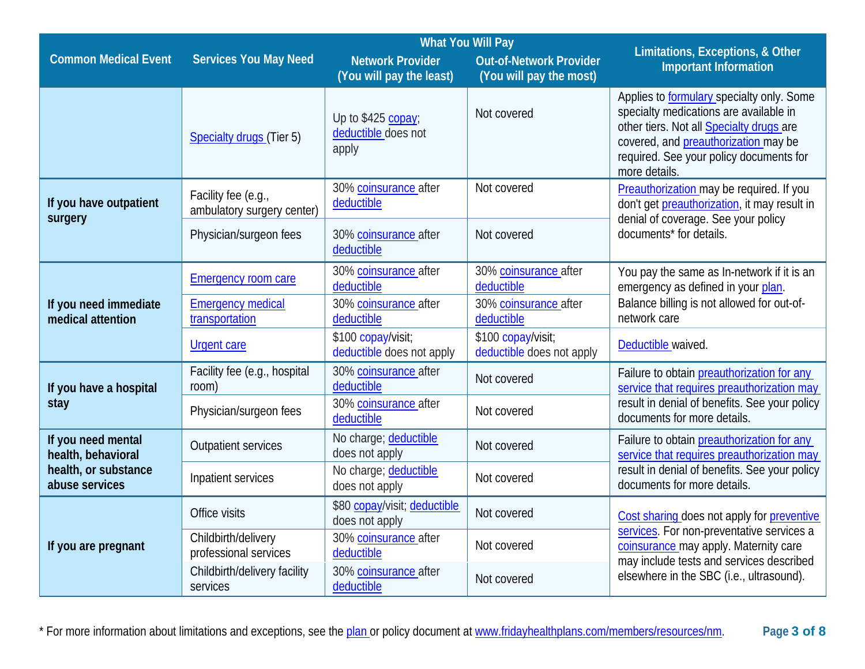|                                            | <b>What You Will Pay</b>                          |                                                     |                                                           |                                                                                                                                                                                                                                            |  |
|--------------------------------------------|---------------------------------------------------|-----------------------------------------------------|-----------------------------------------------------------|--------------------------------------------------------------------------------------------------------------------------------------------------------------------------------------------------------------------------------------------|--|
| <b>Common Medical Event</b>                | <b>Services You May Need</b>                      | <b>Network Provider</b><br>(You will pay the least) | <b>Out-of-Network Provider</b><br>(You will pay the most) | Limitations, Exceptions, & Other<br><b>Important Information</b>                                                                                                                                                                           |  |
|                                            | <b>Specialty drugs (Tier 5)</b>                   | Up to \$425 copay;<br>deductible does not<br>apply  | Not covered                                               | Applies to <b>formulary</b> specialty only. Some<br>specialty medications are available in<br>other tiers. Not all Specialty drugs are<br>covered, and preauthorization may be<br>required. See your policy documents for<br>more details. |  |
| If you have outpatient<br>surgery          | Facility fee (e.g.,<br>ambulatory surgery center) | 30% coinsurance after<br>deductible                 | Not covered                                               | Preauthorization may be required. If you<br>don't get preauthorization, it may result in<br>denial of coverage. See your policy                                                                                                            |  |
|                                            | Physician/surgeon fees                            | 30% coinsurance after<br>deductible                 | Not covered                                               | documents* for details.                                                                                                                                                                                                                    |  |
|                                            | <b>Emergency room care</b>                        | 30% coinsurance after<br>deductible                 | 30% coinsurance after<br>deductible                       | You pay the same as In-network if it is an<br>emergency as defined in your plan.                                                                                                                                                           |  |
| If you need immediate<br>medical attention | <b>Emergency medical</b><br>transportation        | 30% coinsurance after<br>deductible                 | 30% coinsurance after<br>deductible                       | Balance billing is not allowed for out-of-<br>network care                                                                                                                                                                                 |  |
|                                            | <b>Urgent care</b>                                | \$100 copay/visit;<br>deductible does not apply     | \$100 copay/visit;<br>deductible does not apply           | Deductible waived.                                                                                                                                                                                                                         |  |
| If you have a hospital                     | Facility fee (e.g., hospital<br>room)             | 30% coinsurance after<br>deductible                 | Not covered                                               | Failure to obtain preauthorization for any<br>service that requires preauthorization may                                                                                                                                                   |  |
| stay                                       | Physician/surgeon fees                            | 30% coinsurance after<br>deductible                 | Not covered                                               | result in denial of benefits. See your policy<br>documents for more details.                                                                                                                                                               |  |
| If you need mental<br>health, behavioral   | <b>Outpatient services</b>                        | No charge; deductible<br>does not apply             | Not covered                                               | Failure to obtain preauthorization for any<br>service that requires preauthorization may                                                                                                                                                   |  |
| health, or substance<br>abuse services     | Inpatient services                                | No charge; deductible<br>does not apply             | Not covered                                               | result in denial of benefits. See your policy<br>documents for more details.                                                                                                                                                               |  |
|                                            | Office visits                                     | \$80 copay/visit; deductible<br>does not apply      | Not covered                                               | Cost sharing does not apply for preventive                                                                                                                                                                                                 |  |
| If you are pregnant                        | Childbirth/delivery<br>professional services      | 30% coinsurance after<br>deductible                 | Not covered                                               | services. For non-preventative services a<br>coinsurance may apply. Maternity care<br>may include tests and services described                                                                                                             |  |
|                                            | Childbirth/delivery facility<br>services          | 30% coinsurance after<br>deductible                 | Not covered                                               | elsewhere in the SBC (i.e., ultrasound).                                                                                                                                                                                                   |  |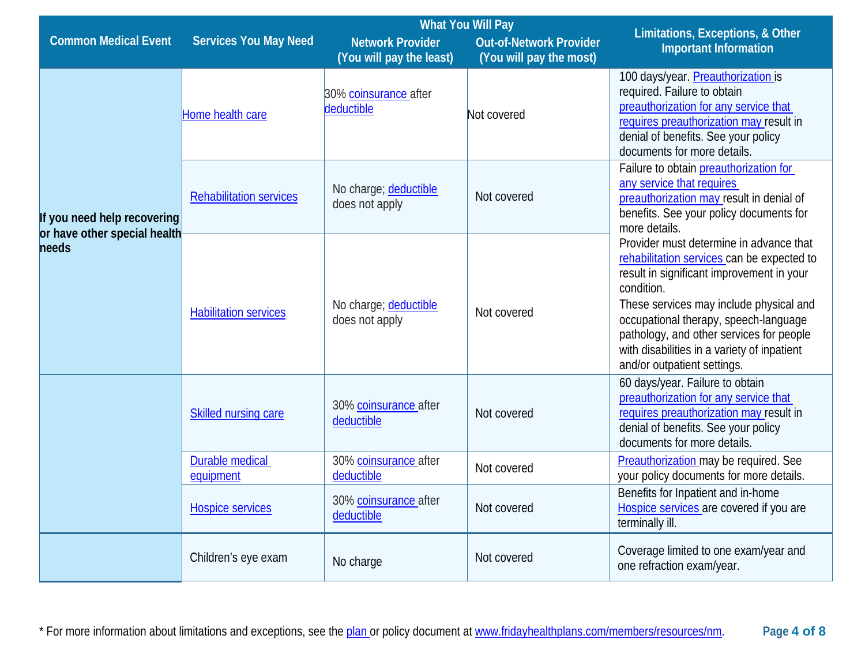|                                       | <b>What You Will Pay</b>            |                                                     |                                                           |                                                                                                                                                                                                                                                                                                                                                                |
|---------------------------------------|-------------------------------------|-----------------------------------------------------|-----------------------------------------------------------|----------------------------------------------------------------------------------------------------------------------------------------------------------------------------------------------------------------------------------------------------------------------------------------------------------------------------------------------------------------|
| <b>Common Medical Event</b>           | <b>Services You May Need</b>        | <b>Network Provider</b><br>(You will pay the least) | <b>Out-of-Network Provider</b><br>(You will pay the most) | Limitations, Exceptions, & Other<br><b>Important Information</b>                                                                                                                                                                                                                                                                                               |
|                                       | Home health care                    | 30% coinsurance after<br>deductible                 | Not covered                                               | 100 days/year. Preauthorization is<br>required. Failure to obtain<br>preauthorization for any service that<br>requires preauthorization may result in<br>denial of benefits. See your policy<br>documents for more details.                                                                                                                                    |
| If you need help recovering           | <b>Rehabilitation services</b>      | No charge; deductible<br>does not apply             | Not covered                                               | Failure to obtain preauthorization for<br>any service that requires<br>preauthorization may result in denial of<br>benefits. See your policy documents for<br>more details.                                                                                                                                                                                    |
| or have other special health<br>needs | <b>Habilitation services</b>        | No charge; deductible<br>does not apply             | Not covered                                               | Provider must determine in advance that<br>rehabilitation services can be expected to<br>result in significant improvement in your<br>condition.<br>These services may include physical and<br>occupational therapy, speech-language<br>pathology, and other services for people<br>with disabilities in a variety of inpatient<br>and/or outpatient settings. |
|                                       | Skilled nursing care                | 30% coinsurance after<br>deductible                 | Not covered                                               | 60 days/year. Failure to obtain<br>preauthorization for any service that<br>requires preauthorization may result in<br>denial of benefits. See your policy<br>documents for more details.                                                                                                                                                                      |
|                                       | <b>Durable medical</b><br>equipment | 30% coinsurance after<br>deductible                 | Not covered                                               | Preauthorization may be required. See<br>your policy documents for more details.                                                                                                                                                                                                                                                                               |
|                                       | <b>Hospice services</b>             | 30% coinsurance after<br>deductible                 | Not covered                                               | Benefits for Inpatient and in-home<br>Hospice services are covered if you are<br>terminally ill.                                                                                                                                                                                                                                                               |
|                                       | Children's eye exam                 | No charge                                           | Not covered                                               | Coverage limited to one exam/year and<br>one refraction exam/year.                                                                                                                                                                                                                                                                                             |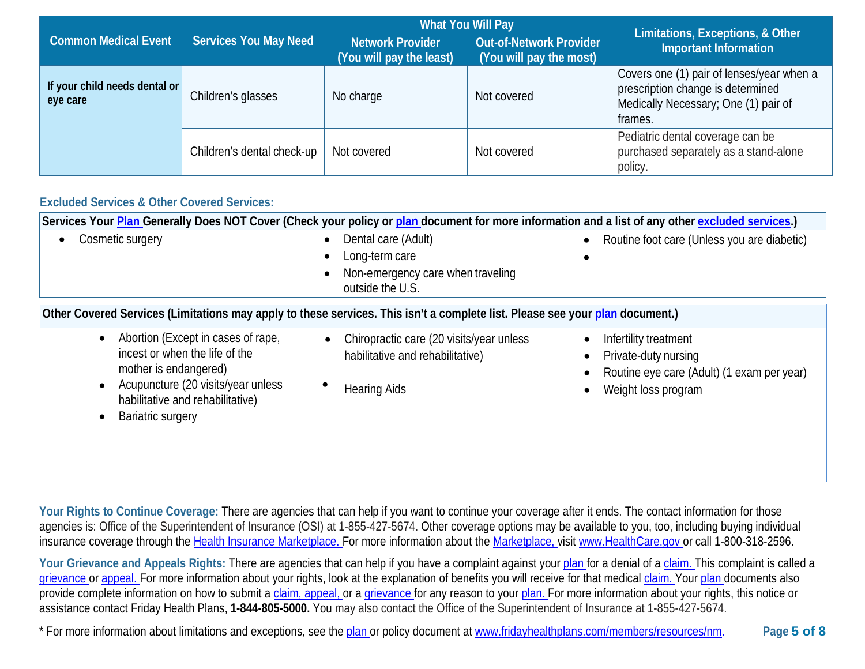|                                           |                              | <b>What You Will Pay</b>                            |                                                           | Limitations, Exceptions, & Other                                                                                                  |
|-------------------------------------------|------------------------------|-----------------------------------------------------|-----------------------------------------------------------|-----------------------------------------------------------------------------------------------------------------------------------|
| <b>Common Medical Event</b>               | <b>Services You May Need</b> | <b>Network Provider</b><br>(You will pay the least) | <b>Out-of-Network Provider</b><br>(You will pay the most) | <b>Important Information</b>                                                                                                      |
| If your child needs dental or<br>eye care | Children's glasses           | No charge                                           | Not covered                                               | Covers one (1) pair of lenses/year when a<br>prescription change is determined<br>Medically Necessary; One (1) pair of<br>frames. |
|                                           | Children's dental check-up   | Not covered                                         | Not covered                                               | Pediatric dental coverage can be<br>purchased separately as a stand-alone<br>policy.                                              |

### **Excluded Services & Other Covered Services:**

| Services Your Plan Generally Does NOT Cover (Check your policy or plan document for more information and a list of any other excluded services.)                                                                 |                                                                                                                  |                                                                                                                    |  |  |
|------------------------------------------------------------------------------------------------------------------------------------------------------------------------------------------------------------------|------------------------------------------------------------------------------------------------------------------|--------------------------------------------------------------------------------------------------------------------|--|--|
| Cosmetic surgery<br>$\bullet$                                                                                                                                                                                    | Dental care (Adult)<br>$\bullet$                                                                                 | Routine foot care (Unless you are diabetic)                                                                        |  |  |
|                                                                                                                                                                                                                  | Long-term care<br>$\bullet$                                                                                      |                                                                                                                    |  |  |
|                                                                                                                                                                                                                  | Non-emergency care when traveling<br>outside the U.S.                                                            |                                                                                                                    |  |  |
| Other Covered Services (Limitations may apply to these services. This isn't a complete list. Please see your plan document.)                                                                                     |                                                                                                                  |                                                                                                                    |  |  |
| Abortion (Except in cases of rape,<br>$\bullet$<br>incest or when the life of the<br>mother is endangered)<br>Acupuncture (20 visits/year unless<br>habilitative and rehabilitative)<br><b>Bariatric surgery</b> | Chiropractic care (20 visits/year unless<br>$\bullet$<br>habilitative and rehabilitative)<br><b>Hearing Aids</b> | Infertility treatment<br>Private-duty nursing<br>Routine eye care (Adult) (1 exam per year)<br>Weight loss program |  |  |

Your Rights to Continue Coverage: There are agencies that can help if you want to continue your coverage after it ends. The contact information for those agencies is: Office of the Superintendent of Insurance (OSI) at 1-855-427-5674. Other coverage options may be available to you, too, including buying individual insurance coverage through the [Health Insurance](https://www.healthcare.gov/sbc-glossary/#health-insurance) [Marketplace. F](https://www.healthcare.gov/sbc-glossary/#marketplace)or more information about the [Marketplace, v](https://www.healthcare.gov/sbc-glossary/#marketplace)isit [www.HealthCare.gov](http://www.healthcare.gov/) or call 1-800-318-2596.

Your Grievance and Appeals Rights: There are agencies that can help if you have a complaint against you[r plan](https://www.healthcare.gov/sbc-glossary/#plan) for a denial of a [claim. T](https://www.healthcare.gov/sbc-glossary/#claim)his complaint is called a [grievance](https://www.healthcare.gov/sbc-glossary/#grievance) or [appeal. F](https://www.healthcare.gov/sbc-glossary/#appeal)or more information about your rights, look at the explanation of benefits you will receive for that medica[l claim. Y](https://www.healthcare.gov/sbc-glossary/#claim)our [plan](https://www.healthcare.gov/sbc-glossary/#plan) documents also provide complete information on how to submit a [claim,](https://www.healthcare.gov/sbc-glossary/#claim) [appeal, o](https://www.healthcare.gov/sbc-glossary/#appeal)r a [grievance fo](https://www.healthcare.gov/sbc-glossary/#grievance)r any reason to your [plan. F](https://www.healthcare.gov/sbc-glossary/#plan)or more information about your rights, this notice or assistance contact Friday Health Plans, **1-844-805-5000.** You may also contact the Office of the Superintendent of Insurance at 1-855-427-5674.

\* For more information about limitations and exceptions, see the [plan o](https://www.healthcare.gov/sbc-glossary/#plan)r policy document at www.fridayhealthplans.com/members/resources/nm. **Page 5 of 8**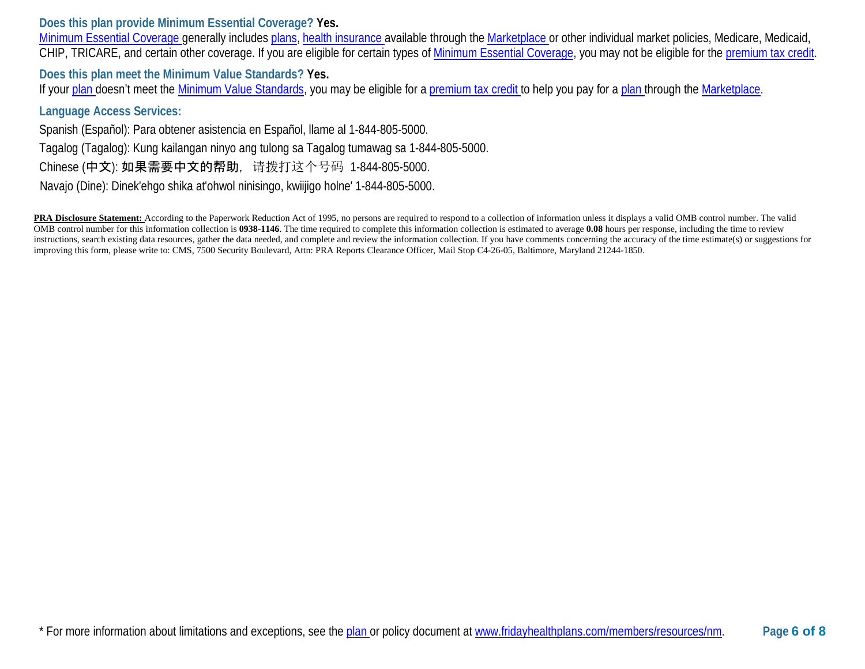**Does this plan provide Minimum Essential Coverage? Yes.**

[Minimum Essential Coverage g](https://www.healthcare.gov/sbc-glossary/#minimum-essential-coverage)enerally includes [plans,](https://www.healthcare.gov/sbc-glossary/#plan) [health insurance a](https://www.healthcare.gov/sbc-glossary/#health-insurance)vailable through the [Marketplace o](https://www.healthcare.gov/sbc-glossary/#marketplace)r other individual market policies, Medicare, Medicaid, CHIP, TRICARE, and certain other coverage. If you are eligible for certain types of [Minimum Essential Coverage,](https://www.healthcare.gov/sbc-glossary/#minimum-essential-coverage) you may not be eligible for the [premium tax credit.](https://www.healthcare.gov/sbc-glossary/#premium-tax-credits)

**Does this plan meet the Minimum Value Standards? Yes.**

If your [plan d](https://www.healthcare.gov/sbc-glossary/#plan)oesn't meet the [Minimum Value Standards,](https://www.healthcare.gov/sbc-glossary/#minimum-value-standard) you may be eligible for a [premium tax credit t](https://www.healthcare.gov/sbc-glossary/#premium-tax-credits)o help you pay for a [plan th](https://www.healthcare.gov/sbc-glossary/#plan)rough the [Marketplace.](https://www.healthcare.gov/sbc-glossary/#marketplace)

### **Language Access Services:**

Spanish (Español): Para obtener asistencia en Español, llame al 1-844-805-5000. Tagalog (Tagalog): Kung kailangan ninyo ang tulong sa Tagalog tumawag sa 1-844-805-5000. Chinese (中文): 如果需要中文的帮助, 请拨打这个号码 1-844-805-5000.

Navajo (Dine): Dinek'ehgo shika at'ohwol ninisingo, kwiijigo holne' 1-844-805-5000.

PRA Disclosure Statement: According to the Paperwork Reduction Act of 1995, no persons are required to respond to a collection of information unless it displays a valid OMB control number. The valid OMB control number for this information collection is **0938-1146**. The time required to complete this information collection is estimated to average **0.08** hours per response, including the time to review instructions, search existing data resources, gather the data needed, and complete and review the information collection. If you have comments concerning the accuracy of the time estimate(s) or suggestions for improving this form, please write to: CMS, 7500 Security Boulevard, Attn: PRA Reports Clearance Officer, Mail Stop C4-26-05, Baltimore, Maryland 21244-1850.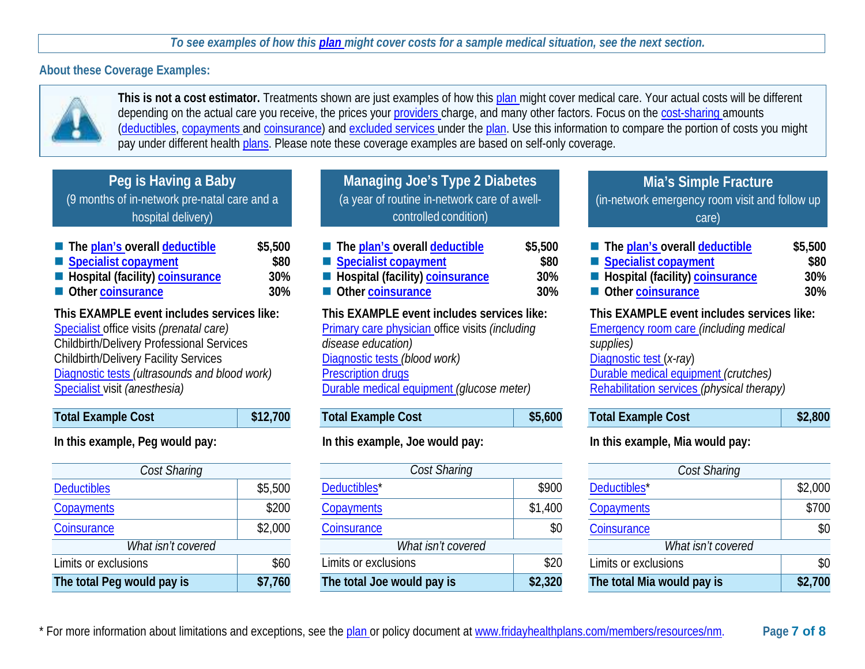### *To see examples of how this [plan m](https://www.healthcare.gov/sbc-glossary/#plan)ight cover costs for a sample medical situation, see the next section.*

### **About these Coverage Examples:**



**This is not a cost estimator.** Treatments shown are just examples of how this [plan m](https://www.healthcare.gov/sbc-glossary/#plan)ight cover medical care. Your actual costs will be different depending on the actual care you receive, the prices your [providers c](https://www.healthcare.gov/sbc-glossary/#provider)harge, and many other factors. Focus on the [cost-sharing a](https://www.healthcare.gov/sbc-glossary/#cost-sharing)mounts [\(deductibles,](https://www.healthcare.gov/sbc-glossary/#deductible) [copayments a](https://www.healthcare.gov/sbc-glossary/#copayment)nd [coinsurance\)](https://www.healthcare.gov/sbc-glossary/#coinsurance) and [excluded services u](https://www.healthcare.gov/sbc-glossary/#excluded-services)nder the [plan.](https://www.healthcare.gov/sbc-glossary/#plan) Use this information to compare the portion of costs you might pay under different health [plans.](https://www.healthcare.gov/sbc-glossary/#plan) Please note these coverage examples are based on self-only coverage.

## **Peg is Having a Baby**

(9 months of in-network pre-natal care and a hospital delivery)

| The plan's overall deductible     | \$5,50 |
|-----------------------------------|--------|
| Specialist copayment              | \$8    |
| ■ Hospital (facility) coinsurance | 30     |
| Other coinsurance                 | 30     |

| <b>Total Example Cost</b> | \$12,700 |
|---------------------------|----------|
|                           |          |

### **In this example, Peg would pay:**

| Cost Sharing               |         |
|----------------------------|---------|
|                            |         |
| <b>Deductibles</b>         | \$5,500 |
| Copayments                 | \$200   |
| Coinsurance                | \$2,000 |
| What isn't covered         |         |
| Limits or exclusions       | \$60    |
| The total Peg would pay is | \$7,760 |

| Managing Joe's Type 2 Diabetes                |
|-----------------------------------------------|
| (a year of routine in-network care of a well- |
| controlled condition)                         |

| The plan's overall deductible                                                                                                                                                                                                                                  | \$5,500 | The plan's overall deductible                                                                                                                                                                                                  | \$5,500 | The plan's overall deductible                                                                                                                                                                                             | \$5,500 |
|----------------------------------------------------------------------------------------------------------------------------------------------------------------------------------------------------------------------------------------------------------------|---------|--------------------------------------------------------------------------------------------------------------------------------------------------------------------------------------------------------------------------------|---------|---------------------------------------------------------------------------------------------------------------------------------------------------------------------------------------------------------------------------|---------|
| Specialist copayment                                                                                                                                                                                                                                           | \$80    | Specialist copayment                                                                                                                                                                                                           | \$80    | Specialist copayment                                                                                                                                                                                                      | \$80    |
| <b>E</b> Hospital (facility) coinsurance                                                                                                                                                                                                                       | 30%     | ■ Hospital (facility) coinsurance                                                                                                                                                                                              | 30%     | <b>E</b> Hospital (facility) coinsurance                                                                                                                                                                                  | 30%     |
| Other coinsurance                                                                                                                                                                                                                                              | 30%     | Other coinsurance                                                                                                                                                                                                              | 30%     | Other coinsurance                                                                                                                                                                                                         | 30%     |
| This EXAMPLE event includes services like:<br>Specialist office visits (prenatal care)<br>Childbirth/Delivery Professional Services<br>Childbirth/Delivery Facility Services<br>Diagnostic tests (ultrasounds and blood work)<br>Specialist visit (anesthesia) |         | This EXAMPLE event includes services like:<br>Primary care physician office visits (including<br>disease education)<br>Diagnostic tests (blood work)<br><b>Prescription drugs</b><br>Durable medical equipment (glucose meter) |         | This EXAMPLE event includes services like:<br><b>Emergency room care (including medical</b><br>supplies)<br>Diagnostic test (x-ray)<br>Durable medical equipment (crutches)<br>Rehabilitation services (physical therapy) |         |

# Total Example Cost **\$5,600**

### **In this example, Joe would pay:**

| Cost Sharing               |         |  |  |  |
|----------------------------|---------|--|--|--|
| Deductibles*               | \$900   |  |  |  |
| Copayments                 | \$1,400 |  |  |  |
| Coinsurance                | \$0     |  |  |  |
| What isn't covered         |         |  |  |  |
| Limits or exclusions       | \$20    |  |  |  |
| The total Joe would pay is | \$2,320 |  |  |  |

### **Mia's Simple Fracture**

(in-network emergency room visit and follow up care)

| The plan's overall deductible                       | \$5,500 |  |  |
|-----------------------------------------------------|---------|--|--|
| Specialist copayment                                | \$80    |  |  |
| Hospital (facility) coinsurance                     | 30%     |  |  |
| Other coinsurance                                   | 30%     |  |  |
| $\tau$ . The state of the state of the state $\tau$ |         |  |  |

#### **This EXAMPLE event includes services like:**

| <b>Total Example Cost</b> | \$2,800 |
|---------------------------|---------|
|---------------------------|---------|

### **In this example, Mia would pay:**

| Cost Sharing               |         |  |  |  |  |
|----------------------------|---------|--|--|--|--|
| Deductibles*               | \$2,000 |  |  |  |  |
| <b>Copayments</b>          | \$700   |  |  |  |  |
| Coinsurance                |         |  |  |  |  |
| What isn't covered         |         |  |  |  |  |
| Limits or exclusions       |         |  |  |  |  |
| The total Mia would pay is | \$2,700 |  |  |  |  |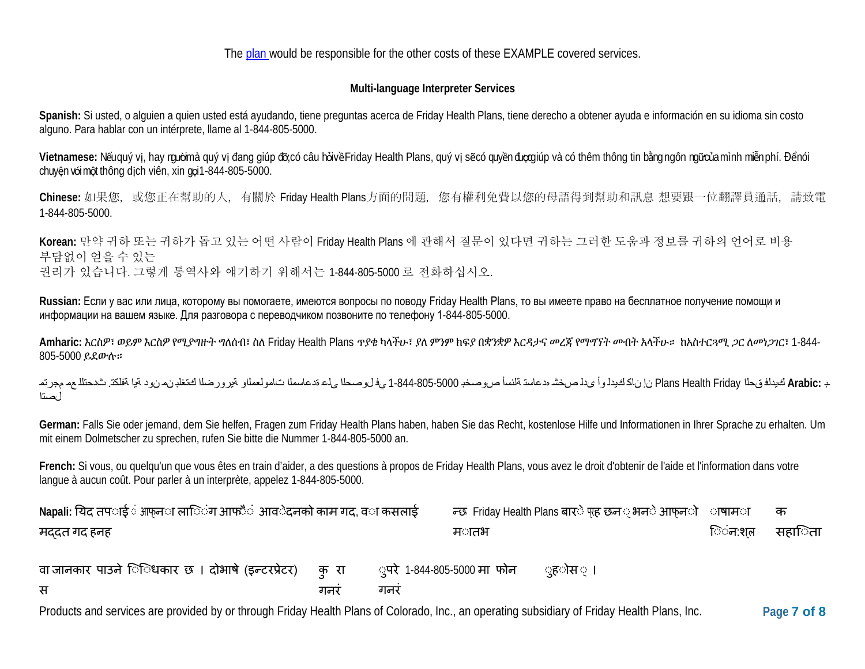The [plan w](https://www.healthcare.gov/sbc-glossary/#plan)ould be responsible for the other costs of these EXAMPLE covered services.

### **Multi-language Interpreter Services**

**Spanish:** Si usted, o alguien a quien usted está ayudando, tiene preguntas acerca de Friday Health Plans, tiene derecho a obtener ayuda e información en su idioma sin costo alguno. Para hablar con un intérprete, llame al 1-844-805-5000.

Vietnamese: Nếu quý vị, hay mườimà quý vị đang giúp đỡ, có câu hỏi về Friday Health Plans, quý vị sẽ có quyền đượ giúp và có thêm thông tin bằng ngôn ngữ của mình miễn phí. Đểnói chuyện với một thông dịch viên, xin gọi 1-844-805-5000.

Chinese: 如果您, 或您正在幫助的人, 有關於 Friday Health Plans方面的問題, 您有權利免費以您的母語得到幫助和訊息 想要跟一位翻譯員通話, 請致電 1-844-805-5000.

**Korean:** 만약 귀하 또는 귀하가 돕고 있는 어떤 사람이 Friday Health Plans 에 관해서 질문이 있다면 귀하는 그러한 도움과 정보를 귀하의 언어로 비용 부담없이 얻을 수 있는 권리가 있습니다. 그렇게 통역사와 얘기하기 위해서는 1-844-805-5000 로 전화하십시오.

**Russian:** Если у вас или лица, которому вы помогаете, имеются вопросы по поводу Friday Health Plans, то вы имеете право на бесплатное получение помощи и информации на вашем языке. Для разговора с переводчиком позвоните по телефону 1-844-805-5000.

**Amharic:** እርስዎ፣ ወይም እርስዎ የሚያግዙት ግለሰብ፣ ስለ Friday Health Plans ጥያቄ ካላችሁ፣ ያለ ምንም ክፍያ በቋንቋዎ እርዳታና መረጃ የማግኘት መብት አላችሁ። ከአስተርጓሚ ጋር ለመነጋገር፣ 1-844- 805-5000 ይደውሉ።

ـب **:Arabic** كیدلف قحلا Friday Health Plans نإ ناك كیدل وأ ىدل صخش هدعاست ةلئسأ صوصخب 1-844-805-5000 يف لوصحلا ىلع ةدعاسملا تامولعملاو ةیرورضلا كتغلب نم نود ةیا ةفلكت. ثدحتلل عم مجرتم لصتا

**German:** Falls Sie oder jemand, dem Sie helfen, Fragen zum Friday Health Plans haben, haben Sie das Recht, kostenlose Hilfe und Informationen in Ihrer Sprache zu erhalten. Um mit einem Dolmetscher zu sprechen, rufen Sie bitte die Nummer 1-844-805-5000 an.

**French:** Si vous, ou quelqu'un que vous êtes en train d'aider, a des questions à propos de Friday Health Plans, vous avez le droit d'obtenir de l'aide et l'information dans votre langue à aucun coût. Pour parler à un interprète, appelez 1-844-805-5000.

| Napali: यिद तप <b>ाई</b> ं आफ़न <b>ा ला</b> िंग आफ <b>ै</b> ं आव <b>ेदनको काम गद, व</b> ा कसलाई | न्छ Friday Health Plans बार <b>े</b> पह छन <i>्</i> भन <b>े आफन</b> ो ाषाम <b>ा</b> |                                   | क            |                   |        |        |
|-------------------------------------------------------------------------------------------------|-------------------------------------------------------------------------------------|-----------------------------------|--------------|-------------------|--------|--------|
| मददत गद हनह                                                                                     |                                                                                     |                                   | म <b>ातभ</b> |                   | िंन:शत | सहािता |
| वा जानकार पाउने ििधकार छ । दोभाषे (इन्टरप्रेटर)<br>स                                            | क रा<br>गनर                                                                         | ्परे 1-844-805-5000 मा फोन<br>गनर |              | ्ह <b>ो</b> स ः । |        |        |

Products and services are provided by or through Friday Health Plans of Colorado, Inc., an operating subsidiary of Friday Health Plans, Inc. **Page 7 of 8**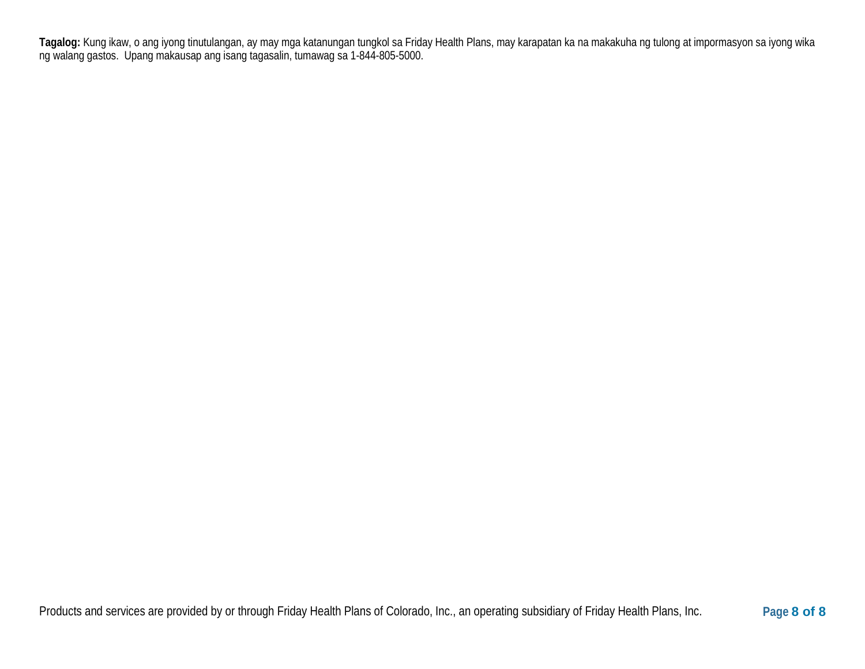**Tagalog:** Kung ikaw, o ang iyong tinutulangan, ay may mga katanungan tungkol sa Friday Health Plans, may karapatan ka na makakuha ng tulong at impormasyon sa iyong wika ng walang gastos. Upang makausap ang isang tagasalin, tumawag sa 1-844-805-5000.